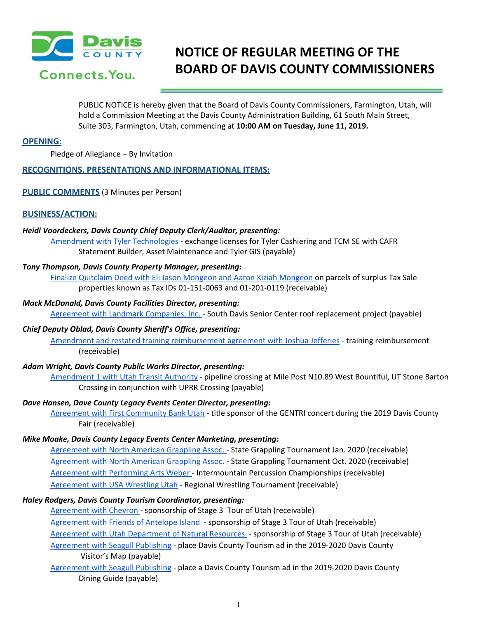

# **NOTICE OF REGULAR MEETING OF THE BOARD OF DAVIS COUNTY COMMISSIONERS**

PUBLIC NOTICE is hereby given that the Board of Davis County Commissioners, Farmington, Utah, will hold a Commission Meeting at the Davis County Administration Building, 61 South Main Street, Suite 303, Farmington, Utah, commencing at **10:00 AM on Tuesday, June 11, 2019.**

## **OPENING:**

Pledge of Allegiance – By Invitation

# **RECOGNITIONS, PRESENTATIONS AND INFORMATIONAL ITEMS:**

## **PUBLIC COMMENTS** (3 Minutes per Person)

# **BUSINESS/ACTION:**

#### *Heidi Voordeckers, Davis County Chief Deputy Clerk/Auditor, presenting:*

Amendment with Tyler [Technologies](https://drive.google.com/a/co.davis.ut.us/file/d/1IHzQzzVs3_LA8tJw2Ai-5buca72U8DLF/view?usp=drivesdk) - exchange licenses for Tyler Cashiering and TCM SE with CAFR Statement Builder, Asset Maintenance and Tyler GIS (payable)

#### *Tony Thompson, Davis County Property Manager, presenting:*

Finalize Quitclaim Deed with Eli Jason [Mongeon](https://drive.google.com/a/co.davis.ut.us/file/d/1-edeqk3FjEp5QF9gIzrqpLrahAvyvhoN/view?usp=drivesdk) and Aaron Kiziah Mongeon on parcels of surplus Tax Sale properties known as Tax IDs 01-151-0063 and 01-201-0119 (receivable)

#### *Mack McDonald, Davis County Facilities Director, presenting:*

Agreement with Landmark [Companies,](https://drive.google.com/a/co.davis.ut.us/file/d/1Mz4JLo71pRLI-9ZpKv-MDbzcaraKCyZK/view?usp=drivesdk) Inc. - South Davis Senior Center roof replacement project (payable)

#### *Chief Deputy Oblad, Davis County Sheriff's Office, presenting:*

Amendment and restated training [reimbursement](https://drive.google.com/a/co.davis.ut.us/file/d/1BSJnfUn82jDYyFsnFOPl-fjB1fWS3rcj/view?usp=drivesdk) agreement with Joshua Jefferies - training reimbursement (receivable)

# *Adam Wright, Davis County Public Works Director, presenting:*

[Amendment](https://drive.google.com/a/co.davis.ut.us/file/d/1Pr-SOpeL2jvgAko6edbGzVZFj5Jl-07F/view?usp=drivesdk) 1 with Utah Transit Authority - pipeline crossing at Mile Post N10.89 West Bountiful, UT Stone Barton Crossing in conjunction with UPRR Crossing (payable)

## *Dave Hansen, Dave County Legacy Events Center Director, presenting:*

Agreement with First [Community](https://drive.google.com/a/co.davis.ut.us/file/d/1GZ-k4td4k1upWWGcKoUiwe4AmcNyNS_E/view?usp=drivesdk) Bank Utah - title sponsor of the GENTRI concert during the 2019 Davis County Fair (receivable)

#### *Mike Moake, Davis County Legacy Events Center Marketing, presenting:*

[Agreement](https://drive.google.com/a/co.davis.ut.us/file/d/1IzOMB8WEvMFIMlKooZXll5XEqxeW588u/view?usp=drivesdk) with North American Grappling Assoc. - State Grappling Tournament Jan. 2020 (receivable) [Agreement](https://drive.google.com/a/co.davis.ut.us/file/d/1zB0s1diYY65yzDbLRWLQwxtp2DRF8Jye/view?usp=drivesdk) with North American Grappling Assoc. - State Grappling Tournament Oct. 2020 (receivable) Agreement with [Performing](https://drive.google.com/a/co.davis.ut.us/file/d/1NqSE-CIFmjOFf0Gg2v0F8QJyWFHtA9s4/view?usp=drivesdk) Arts Weber - Intermountain Percussion Championships (receivable) [Agreement](https://drive.google.com/a/co.davis.ut.us/file/d/14N16aOpP7R0Y8vZkeMKnCVouLd6jmegJ/view?usp=drivesdk) with USA Wrestling Utah - Regional Wrestling Tournament (receivable)

# *Haley Rodgers, Davis County Tourism Coordinator, presenting:*

[Agreement](https://drive.google.com/a/co.davis.ut.us/file/d/1EevotQpfAYDNPgHtcdAITKmYLgFV4tVD/view?usp=drivesdk) with Chevron - sponsorship of Stage 3 Tour of Utah (receivable) [Agreement](https://drive.google.com/a/co.davis.ut.us/file/d/1UrsaHSerw_oZmG5K2hQDKxnSYhkdAncf/view?usp=drivesdk) with Friends of Antelope Island - sponsorship of Stage 3 Tour of Utah (receivable) Agreement with Utah [Department](https://drive.google.com/a/co.davis.ut.us/file/d/1cJY8ELHkEnoY-Wzf7qAOeTzFh7GE7nZh/view?usp=drivesdk) of Natural Resources - sponsorship of Stage 3 Tour of Utah (receivable) [Agreement](https://drive.google.com/a/co.davis.ut.us/file/d/1fznaVsxUPSfvqll3pL40gqgmOYuG_wCx/view?usp=drivesdk) with Seagull Publishing - place Davis County Tourism ad in the 2019-2020 Davis County Visitor's Map (payable)

[Agreement](https://drive.google.com/a/co.davis.ut.us/file/d/1zh0OttYG4huLq-tkgIb2PRtpTadzfHya/view?usp=drivesdk) with Seagull Publishing - place a Davis County Tourism ad in the [2019-2020](https://drive.google.com/a/co.davis.ut.us/file/d/1zh0OttYG4huLq-tkgIb2PRtpTadzfHya/view?usp=drivesdk) Davis County Dining Guide [\(payable\)](https://drive.google.com/a/co.davis.ut.us/file/d/1zh0OttYG4huLq-tkgIb2PRtpTadzfHya/view?usp=drivesdk)